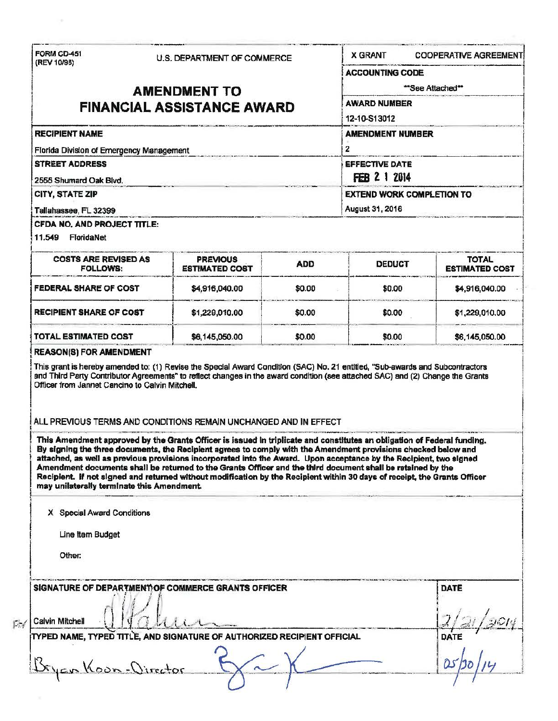| (REV 10/98)                                              | U.S. DEPARTMENT OF COMMERCE                                                                                                                                                                                                                                                                                                                                                                                                                                                                                                                                                                                 |            | <b>X GRANT</b>                                        | <b>COOPERATIVE AGREEMENT</b> |                                          |  |                                                                                                                              |  |
|----------------------------------------------------------|-------------------------------------------------------------------------------------------------------------------------------------------------------------------------------------------------------------------------------------------------------------------------------------------------------------------------------------------------------------------------------------------------------------------------------------------------------------------------------------------------------------------------------------------------------------------------------------------------------------|------------|-------------------------------------------------------|------------------------------|------------------------------------------|--|------------------------------------------------------------------------------------------------------------------------------|--|
|                                                          |                                                                                                                                                                                                                                                                                                                                                                                                                                                                                                                                                                                                             |            |                                                       | <b>ACCOUNTING CODE</b>       |                                          |  |                                                                                                                              |  |
| <b>AMENDMENT TO</b><br><b>FINANCIAL ASSISTANCE AWARD</b> |                                                                                                                                                                                                                                                                                                                                                                                                                                                                                                                                                                                                             |            | "See Attached"<br><b>AWARD NUMBER</b><br>12-10-S13012 |                              |                                          |  |                                                                                                                              |  |
|                                                          |                                                                                                                                                                                                                                                                                                                                                                                                                                                                                                                                                                                                             |            |                                                       |                              | <b>RECIPIENT NAME</b>                    |  | <b>AMENDMENT NUMBER</b><br>2<br><b>EFFECTIVE DATE</b><br>FEB 2 1 2014<br><b>EXTEND WORK COMPLETION TO</b><br>August 31, 2016 |  |
|                                                          |                                                                                                                                                                                                                                                                                                                                                                                                                                                                                                                                                                                                             |            |                                                       |                              | Florida Division of Emergency Management |  |                                                                                                                              |  |
| <b>STREET ADDRESS</b>                                    |                                                                                                                                                                                                                                                                                                                                                                                                                                                                                                                                                                                                             |            |                                                       |                              |                                          |  |                                                                                                                              |  |
| 2555 Shumard Oak Blvd.                                   |                                                                                                                                                                                                                                                                                                                                                                                                                                                                                                                                                                                                             |            |                                                       |                              |                                          |  |                                                                                                                              |  |
| CITY, STATE ZIP                                          |                                                                                                                                                                                                                                                                                                                                                                                                                                                                                                                                                                                                             |            |                                                       |                              |                                          |  |                                                                                                                              |  |
| Tallahassee, FL 32399                                    |                                                                                                                                                                                                                                                                                                                                                                                                                                                                                                                                                                                                             |            |                                                       |                              |                                          |  |                                                                                                                              |  |
| CFDA NO. AND PROJECT TITLE:                              |                                                                                                                                                                                                                                                                                                                                                                                                                                                                                                                                                                                                             |            |                                                       |                              |                                          |  |                                                                                                                              |  |
| 11.549 FloridaNet                                        |                                                                                                                                                                                                                                                                                                                                                                                                                                                                                                                                                                                                             |            |                                                       |                              |                                          |  |                                                                                                                              |  |
| <b>COSTS ARE REVISED AS</b>                              | <b>PREVIOUS</b>                                                                                                                                                                                                                                                                                                                                                                                                                                                                                                                                                                                             | <b>ADD</b> | <b>DEDUCT</b>                                         | <b>TOTAL</b>                 |                                          |  |                                                                                                                              |  |
| <b>FOLLOWS:</b>                                          | <b>ESTIMATED COST</b>                                                                                                                                                                                                                                                                                                                                                                                                                                                                                                                                                                                       |            |                                                       | <b>ESTIMATED COST</b>        |                                          |  |                                                                                                                              |  |
| <b>FEDERAL SHARE OF COST</b>                             | \$4,916,040.00                                                                                                                                                                                                                                                                                                                                                                                                                                                                                                                                                                                              | \$0.00     | \$0.00                                                | \$4,916,040.00               |                                          |  |                                                                                                                              |  |
| <b>RECIPIENT SHARE OF COST</b>                           | \$1,229,010.00                                                                                                                                                                                                                                                                                                                                                                                                                                                                                                                                                                                              | \$0.00     | \$0.00                                                | \$1,229,010.00               |                                          |  |                                                                                                                              |  |
| <b>TOTAL ESTIMATED COST</b>                              | \$6,145,050.00                                                                                                                                                                                                                                                                                                                                                                                                                                                                                                                                                                                              | \$0.00     | \$0.00                                                | \$6,145,050.00               |                                          |  |                                                                                                                              |  |
| <b>REASON(8) FOR AMENDMENT</b>                           |                                                                                                                                                                                                                                                                                                                                                                                                                                                                                                                                                                                                             |            |                                                       |                              |                                          |  |                                                                                                                              |  |
| Officer from Jannet Cancino to Calvin Mitchell.          | This grant is hereby amended to: (1) Revise the Special Award Condition (SAC) No. 21 entitled, "Sub-awards and Subcontractors<br>and Third Party Contributor Agreements" to reflect changes in the award condition (see attached SAC) and (2) Change the Grants                                                                                                                                                                                                                                                                                                                                             |            |                                                       |                              |                                          |  |                                                                                                                              |  |
|                                                          | ALL PREVIOUS TERMS AND CONDITIONS REMAIN UNCHANGED AND IN EFFECT                                                                                                                                                                                                                                                                                                                                                                                                                                                                                                                                            |            |                                                       |                              |                                          |  |                                                                                                                              |  |
| may unilaterally terminate this Amendment.               | This Amendment approved by the Grants Officer is issued in triplicate and constitutes an obligation of Federal funding.<br>By signing the three documents, the Recipient agrees to comply with the Amendment provisions checked below and<br>attached, as well as previous provisions incorporated into the Award. Upon acceptance by the Recipient, two signed<br>Amendment documents shall be returned to the Grants Officer and the third document shall be retained by the<br>Recipient. If not signed and returned without modification by the Recipient within 30 days of receipt, the Grants Officer |            |                                                       |                              |                                          |  |                                                                                                                              |  |
| X Special Award Conditions                               |                                                                                                                                                                                                                                                                                                                                                                                                                                                                                                                                                                                                             |            |                                                       |                              |                                          |  |                                                                                                                              |  |
| Line Item Budget                                         |                                                                                                                                                                                                                                                                                                                                                                                                                                                                                                                                                                                                             |            |                                                       |                              |                                          |  |                                                                                                                              |  |
|                                                          |                                                                                                                                                                                                                                                                                                                                                                                                                                                                                                                                                                                                             |            |                                                       |                              |                                          |  |                                                                                                                              |  |
| Other:                                                   |                                                                                                                                                                                                                                                                                                                                                                                                                                                                                                                                                                                                             |            |                                                       |                              |                                          |  |                                                                                                                              |  |
|                                                          |                                                                                                                                                                                                                                                                                                                                                                                                                                                                                                                                                                                                             |            |                                                       |                              |                                          |  |                                                                                                                              |  |
|                                                          | SIGNATURE OF DEPARTMENT OF COMMERCE GRANTS OFFICER                                                                                                                                                                                                                                                                                                                                                                                                                                                                                                                                                          |            |                                                       | DATE                         |                                          |  |                                                                                                                              |  |
| Calvin Mitchell                                          |                                                                                                                                                                                                                                                                                                                                                                                                                                                                                                                                                                                                             |            |                                                       |                              |                                          |  |                                                                                                                              |  |
|                                                          | TYPED NAME, TYPED TITLE, AND SIGNATURE OF AUTHORIZED RECIPIENT OFFICIAL                                                                                                                                                                                                                                                                                                                                                                                                                                                                                                                                     |            |                                                       | DATE                         |                                          |  |                                                                                                                              |  |
|                                                          |                                                                                                                                                                                                                                                                                                                                                                                                                                                                                                                                                                                                             |            |                                                       |                              |                                          |  |                                                                                                                              |  |
| Koon-Virector                                            |                                                                                                                                                                                                                                                                                                                                                                                                                                                                                                                                                                                                             |            |                                                       |                              |                                          |  |                                                                                                                              |  |

 $\sim$